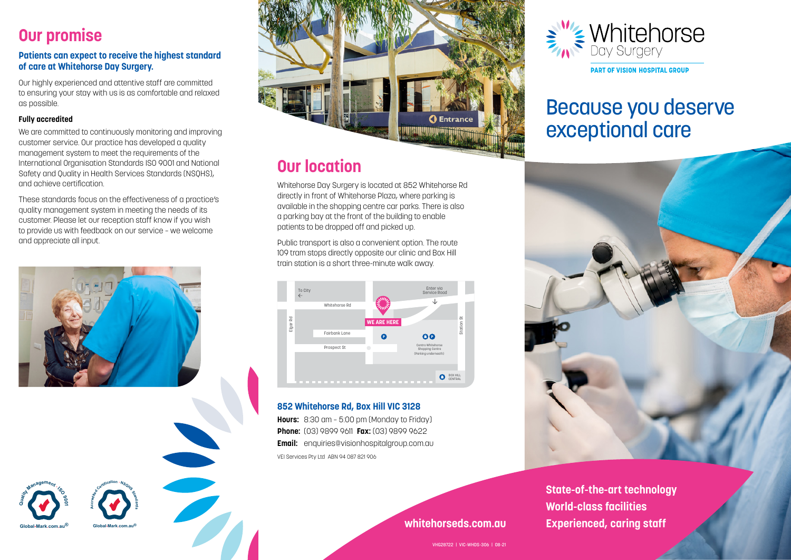### **Our promise**

#### **Patients can expect to receive the highest standard of care at Whitehorse Day Surgery.**

Our highly experienced and attentive staff are committed to ensuring your stay with us is as comfortable and relaxed as possible.

#### **Fully accredited**

**Global-Mark.com.au®**

**d** 

We are committed to continuously monitoring and improving customer service. Our practice has developed a quality management system to meet the requirements of the International Organisation Standards ISO 9001 and National Safety and Quality in Health Services Standards (NSQHS), and achieve certification.

These standards focus on the effectiveness of a practice's quality management system in meeting the needs of its customer. Please let our reception staff know if you wish to provide us with feedback on our service – we welcome and appreciate all input.



**Global-Mark.com.au®**

**Scottlibeation - NSONS** 



### **Our location**

Whitehorse Day Surgery is located at 852 Whitehorse Rd directly in front of Whitehorse Plaza, where parking is available in the shopping centre car parks. There is also a parking bay at the front of the building to enable patients to be dropped off and picked up.

Public transport is also a convenient option. The route 109 tram stops directly opposite our clinic and Box Hill train station is a short three-minute walk away.



### **852 Whitehorse Rd, Box Hill VIC 3128**

**Hours:** 8:30 am – 5:00 pm (Monday to Friday) **Phone:** (03) 9899 9611 **Fax:** (03) 9899 9622 **Email:** enquiries@visionhospitalgroup.com.au VEI Services Pty Ltd ABN 94 087 821 906



# Because you deserve exceptional care



**State-of-the-art technology World-class facilities whitehorseds.com.au Experienced, caring staff**

VHG28722 | VIC-WHDS-306 | 08-21